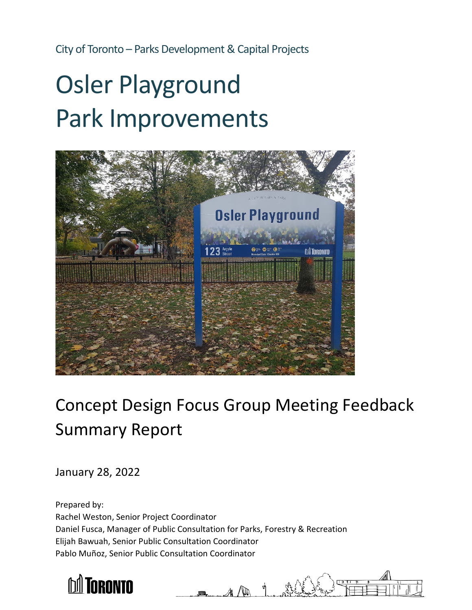City of Toronto – Parks Development & Capital Projects

# Osler Playground Park Improvements



## Concept Design Focus Group Meeting Feedback Summary Report

January 28, 2022

Prepared by: Rachel Weston, Senior Project Coordinator Daniel Fusca, Manager of Public Consultation for Parks, Forestry & Recreation Elijah Bawuah, Senior Public Consultation Coordinator Pablo Muñoz, Senior Public Consultation Coordinator

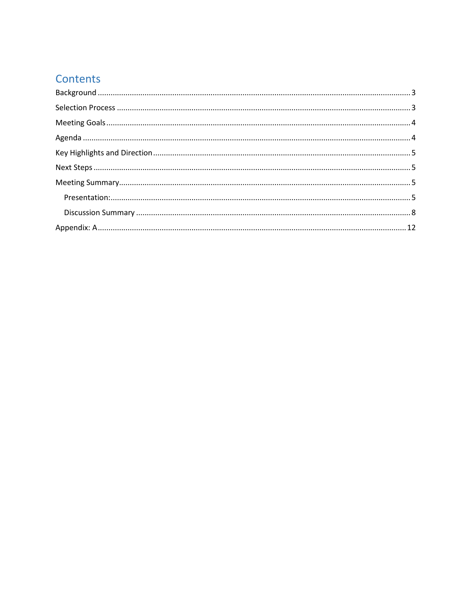## Contents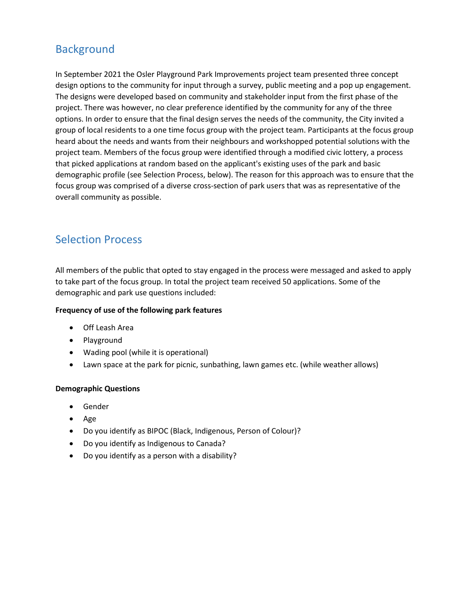## <span id="page-2-0"></span>**Background**

In September 2021 the Osler Playground Park Improvements project team presented three concept design options to the community for input through a survey, public meeting and a pop up engagement. The designs were developed based on community and stakeholder input from the first phase of the project. There was however, no clear preference identified by the community for any of the three options. In order to ensure that the final design serves the needs of the community, the City invited a group of local residents to a one time focus group with the project team. Participants at the focus group heard about the needs and wants from their neighbours and workshopped potential solutions with the project team. Members of the focus group were identified through a modified civic lottery, a process that picked applications at random based on the applicant's existing uses of the park and basic demographic profile (see Selection Process, below). The reason for this approach was to ensure that the focus group was comprised of a diverse cross-section of park users that was as representative of the overall community as possible.

## <span id="page-2-1"></span>Selection Process

All members of the public that opted to stay engaged in the process were messaged and asked to apply to take part of the focus group. In total the project team received 50 applications. Some of the demographic and park use questions included:

#### **Frequency of use of the following park features**

- Off Leash Area
- Playground
- Wading pool (while it is operational)
- Lawn space at the park for picnic, sunbathing, lawn games etc. (while weather allows)

#### **Demographic Questions**

- Gender
- Age
- Do you identify as BIPOC (Black, Indigenous, Person of Colour)?
- Do you identify as Indigenous to Canada?
- Do you identify as a person with a disability?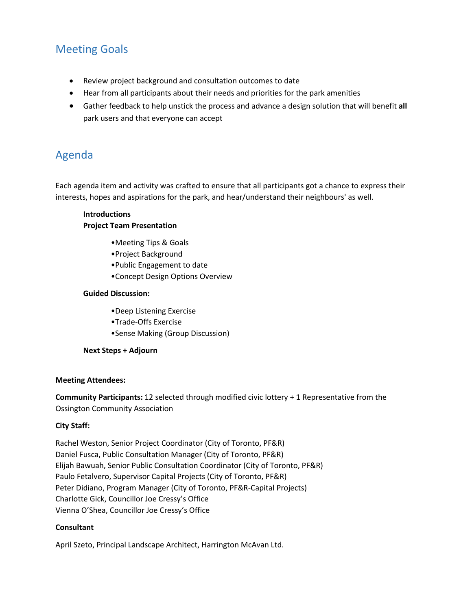## <span id="page-3-0"></span>Meeting Goals

- Review project background and consultation outcomes to date
- Hear from all participants about their needs and priorities for the park amenities
- Gather feedback to help unstick the process and advance a design solution that will benefit **all**  park users and that everyone can accept

## <span id="page-3-1"></span>Agenda

Each agenda item and activity was crafted to ensure that all participants got a chance to express their interests, hopes and aspirations for the park, and hear/understand their neighbours' as well.

#### **Introductions Project Team Presentation**

- •Meeting Tips & Goals
- •Project Background
- •Public Engagement to date
- •Concept Design Options Overview

#### **Guided Discussion:**

- •Deep Listening Exercise
- •Trade-Offs Exercise
- •Sense Making (Group Discussion)

#### **Next Steps + Adjourn**

#### **Meeting Attendees:**

**Community Participants:** 12 selected through modified civic lottery + 1 Representative from the Ossington Community Association

#### **City Staff:**

Rachel Weston, Senior Project Coordinator (City of Toronto, PF&R) Daniel Fusca, Public Consultation Manager (City of Toronto, PF&R) Elijah Bawuah, Senior Public Consultation Coordinator (City of Toronto, PF&R) Paulo Fetalvero, Supervisor Capital Projects (City of Toronto, PF&R) Peter Didiano, Program Manager (City of Toronto, PF&R-Capital Projects) Charlotte Gick, Councillor Joe Cressy's Office Vienna O'Shea, Councillor Joe Cressy's Office

#### **Consultant**

April Szeto, Principal Landscape Architect, Harrington McAvan Ltd.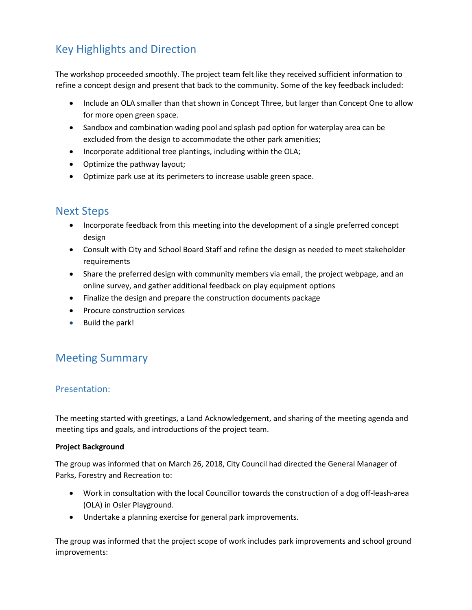## <span id="page-4-0"></span>Key Highlights and Direction

The workshop proceeded smoothly. The project team felt like they received sufficient information to refine a concept design and present that back to the community. Some of the key feedback included:

- Include an OLA smaller than that shown in Concept Three, but larger than Concept One to allow for more open green space.
- Sandbox and combination wading pool and splash pad option for waterplay area can be excluded from the design to accommodate the other park amenities;
- Incorporate additional tree plantings, including within the OLA;
- Optimize the pathway layout;
- Optimize park use at its perimeters to increase usable green space.

## <span id="page-4-1"></span>Next Steps

- Incorporate feedback from this meeting into the development of a single preferred concept design
- Consult with City and School Board Staff and refine the design as needed to meet stakeholder requirements
- Share the preferred design with community members via email, the project webpage, and an online survey, and gather additional feedback on play equipment options
- Finalize the design and prepare the construction documents package
- Procure construction services
- Build the park!

## <span id="page-4-2"></span>Meeting Summary

#### <span id="page-4-3"></span>Presentation:

The meeting started with greetings, a Land Acknowledgement, and sharing of the meeting agenda and meeting tips and goals, and introductions of the project team.

#### **Project Background**

The group was informed that on March 26, 2018, City Council had directed the General Manager of Parks, Forestry and Recreation to:

- Work in consultation with the local Councillor towards the construction of a dog off-leash-area (OLA) in Osler Playground.
- Undertake a planning exercise for general park improvements.

The group was informed that the project scope of work includes park improvements and school ground improvements: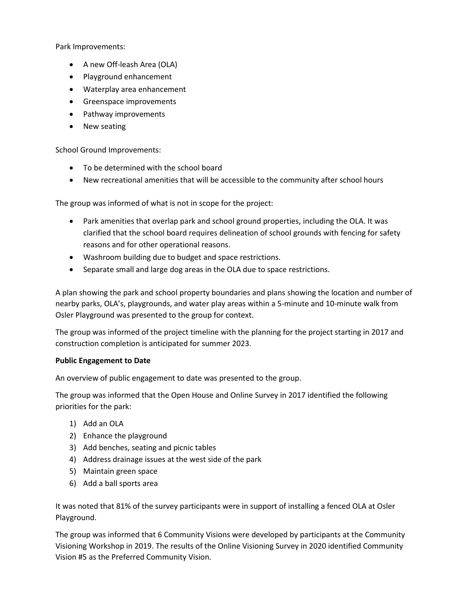Park Improvements:

- A new Off-leash Area (OLA)
- Playground enhancement
- Waterplay area enhancement
- Greenspace improvements
- Pathway improvements
- New seating

School Ground Improvements:

- To be determined with the school board
- New recreational amenities that will be accessible to the community after school hours

The group was informed of what is not in scope for the project:

- Park amenities that overlap park and school ground properties, including the OLA. It was clarified that the school board requires delineation of school grounds with fencing for safety reasons and for other operational reasons.
- Washroom building due to budget and space restrictions.
- Separate small and large dog areas in the OLA due to space restrictions.

A plan showing the park and school property boundaries and plans showing the location and number of nearby parks, OLA's, playgrounds, and water play areas within a 5-minute and 10-minute walk from Osler Playground was presented to the group for context.

The group was informed of the project timeline with the planning for the project starting in 2017 and construction completion is anticipated for summer 2023.

#### **Public Engagement to Date**

An overview of public engagement to date was presented to the group.

The group was informed that the Open House and Online Survey in 2017 identified the following priorities for the park:

- 1) Add an OLA
- 2) Enhance the playground
- 3) Add benches, seating and picnic tables
- 4) Address drainage issues at the west side of the park
- 5) Maintain green space
- 6) Add a ball sports area

It was noted that 81% of the survey participants were in support of installing a fenced OLA at Osler Playground.

The group was informed that 6 Community Visions were developed by participants at the Community Visioning Workshop in 2019. The results of the Online Visioning Survey in 2020 identified Community Vision #5 as the Preferred Community Vision.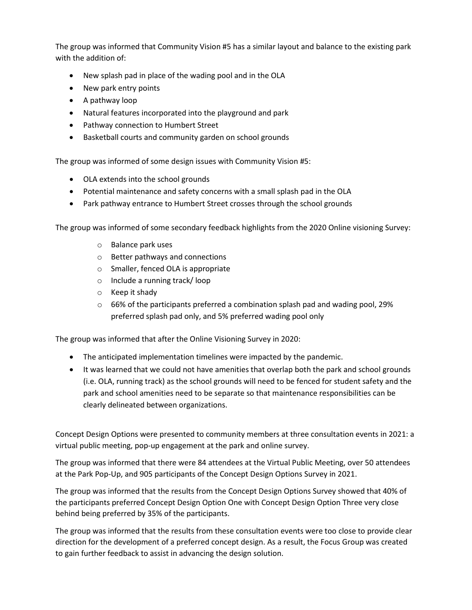The group was informed that Community Vision #5 has a similar layout and balance to the existing park with the addition of:

- New splash pad in place of the wading pool and in the OLA
- New park entry points
- A pathway loop
- Natural features incorporated into the playground and park
- Pathway connection to Humbert Street
- Basketball courts and community garden on school grounds

The group was informed of some design issues with Community Vision #5:

- OLA extends into the school grounds
- Potential maintenance and safety concerns with a small splash pad in the OLA
- Park pathway entrance to Humbert Street crosses through the school grounds

The group was informed of some secondary feedback highlights from the 2020 Online visioning Survey:

- o Balance park uses
- o Better pathways and connections
- o Smaller, fenced OLA is appropriate
- o Include a running track/ loop
- o Keep it shady
- $\circ$  66% of the participants preferred a combination splash pad and wading pool, 29% preferred splash pad only, and 5% preferred wading pool only

The group was informed that after the Online Visioning Survey in 2020:

- The anticipated implementation timelines were impacted by the pandemic.
- It was learned that we could not have amenities that overlap both the park and school grounds (i.e. OLA, running track) as the school grounds will need to be fenced for student safety and the park and school amenities need to be separate so that maintenance responsibilities can be clearly delineated between organizations.

Concept Design Options were presented to community members at three consultation events in 2021: a virtual public meeting, pop-up engagement at the park and online survey.

The group was informed that there were 84 attendees at the Virtual Public Meeting, over 50 attendees at the Park Pop-Up, and 905 participants of the Concept Design Options Survey in 2021.

The group was informed that the results from the Concept Design Options Survey showed that 40% of the participants preferred Concept Design Option One with Concept Design Option Three very close behind being preferred by 35% of the participants.

The group was informed that the results from these consultation events were too close to provide clear direction for the development of a preferred concept design. As a result, the Focus Group was created to gain further feedback to assist in advancing the design solution.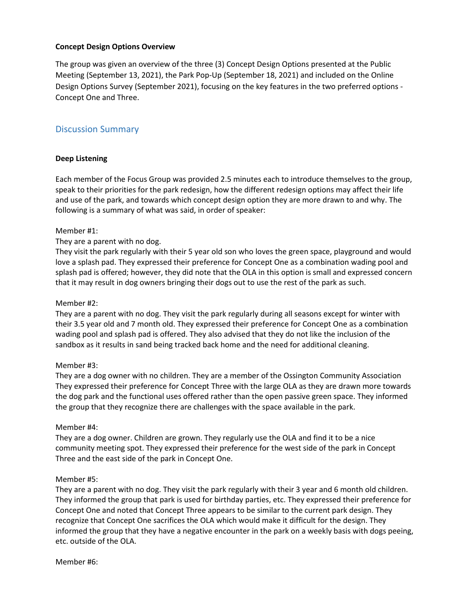#### **Concept Design Options Overview**

The group was given an overview of the three (3) Concept Design Options presented at the Public Meeting (September 13, 2021), the Park Pop-Up (September 18, 2021) and included on the Online Design Options Survey (September 2021), focusing on the key features in the two preferred options - Concept One and Three.

#### <span id="page-7-0"></span>Discussion Summary

#### **Deep Listening**

Each member of the Focus Group was provided 2.5 minutes each to introduce themselves to the group, speak to their priorities for the park redesign, how the different redesign options may affect their life and use of the park, and towards which concept design option they are more drawn to and why. The following is a summary of what was said, in order of speaker:

#### Member #1:

#### They are a parent with no dog.

They visit the park regularly with their 5 year old son who loves the green space, playground and would love a splash pad. They expressed their preference for Concept One as a combination wading pool and splash pad is offered; however, they did note that the OLA in this option is small and expressed concern that it may result in dog owners bringing their dogs out to use the rest of the park as such.

#### Member #2:

They are a parent with no dog. They visit the park regularly during all seasons except for winter with their 3.5 year old and 7 month old. They expressed their preference for Concept One as a combination wading pool and splash pad is offered. They also advised that they do not like the inclusion of the sandbox as it results in sand being tracked back home and the need for additional cleaning.

#### Member #3:

They are a dog owner with no children. They are a member of the Ossington Community Association They expressed their preference for Concept Three with the large OLA as they are drawn more towards the dog park and the functional uses offered rather than the open passive green space. They informed the group that they recognize there are challenges with the space available in the park.

#### Member #4:

They are a dog owner. Children are grown. They regularly use the OLA and find it to be a nice community meeting spot. They expressed their preference for the west side of the park in Concept Three and the east side of the park in Concept One.

#### Member #5:

They are a parent with no dog. They visit the park regularly with their 3 year and 6 month old children. They informed the group that park is used for birthday parties, etc. They expressed their preference for Concept One and noted that Concept Three appears to be similar to the current park design. They recognize that Concept One sacrifices the OLA which would make it difficult for the design. They informed the group that they have a negative encounter in the park on a weekly basis with dogs peeing, etc. outside of the OLA.

Member #6: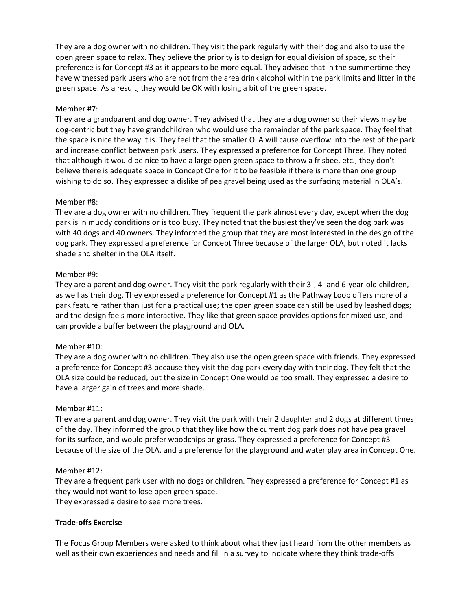They are a dog owner with no children. They visit the park regularly with their dog and also to use the open green space to relax. They believe the priority is to design for equal division of space, so their preference is for Concept #3 as it appears to be more equal. They advised that in the summertime they have witnessed park users who are not from the area drink alcohol within the park limits and litter in the green space. As a result, they would be OK with losing a bit of the green space.

#### Member #7:

They are a grandparent and dog owner. They advised that they are a dog owner so their views may be dog-centric but they have grandchildren who would use the remainder of the park space. They feel that the space is nice the way it is. They feel that the smaller OLA will cause overflow into the rest of the park and increase conflict between park users. They expressed a preference for Concept Three. They noted that although it would be nice to have a large open green space to throw a frisbee, etc., they don't believe there is adequate space in Concept One for it to be feasible if there is more than one group wishing to do so. They expressed a dislike of pea gravel being used as the surfacing material in OLA's.

#### Member #8:

They are a dog owner with no children. They frequent the park almost every day, except when the dog park is in muddy conditions or is too busy. They noted that the busiest they've seen the dog park was with 40 dogs and 40 owners. They informed the group that they are most interested in the design of the dog park. They expressed a preference for Concept Three because of the larger OLA, but noted it lacks shade and shelter in the OLA itself.

#### Member #9:

They are a parent and dog owner. They visit the park regularly with their 3-, 4- and 6-year-old children, as well as their dog. They expressed a preference for Concept #1 as the Pathway Loop offers more of a park feature rather than just for a practical use; the open green space can still be used by leashed dogs; and the design feels more interactive. They like that green space provides options for mixed use, and can provide a buffer between the playground and OLA.

#### Member #10:

They are a dog owner with no children. They also use the open green space with friends. They expressed a preference for Concept #3 because they visit the dog park every day with their dog. They felt that the OLA size could be reduced, but the size in Concept One would be too small. They expressed a desire to have a larger gain of trees and more shade.

#### Member #11:

They are a parent and dog owner. They visit the park with their 2 daughter and 2 dogs at different times of the day. They informed the group that they like how the current dog park does not have pea gravel for its surface, and would prefer woodchips or grass. They expressed a preference for Concept #3 because of the size of the OLA, and a preference for the playground and water play area in Concept One.

#### Member #12:

They are a frequent park user with no dogs or children. They expressed a preference for Concept #1 as they would not want to lose open green space. They expressed a desire to see more trees.

#### **Trade-offs Exercise**

The Focus Group Members were asked to think about what they just heard from the other members as well as their own experiences and needs and fill in a survey to indicate where they think trade-offs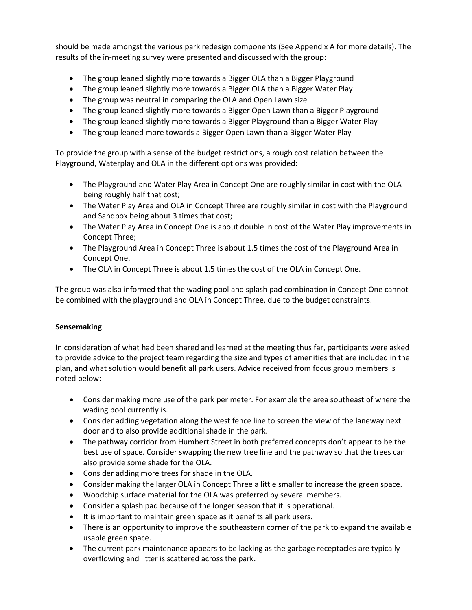should be made amongst the various park redesign components (See Appendix A for more details). The results of the in-meeting survey were presented and discussed with the group:

- The group leaned slightly more towards a Bigger OLA than a Bigger Playground
- The group leaned slightly more towards a Bigger OLA than a Bigger Water Play
- The group was neutral in comparing the OLA and Open Lawn size
- The group leaned slightly more towards a Bigger Open Lawn than a Bigger Playground
- The group leaned slightly more towards a Bigger Playground than a Bigger Water Play
- The group leaned more towards a Bigger Open Lawn than a Bigger Water Play

To provide the group with a sense of the budget restrictions, a rough cost relation between the Playground, Waterplay and OLA in the different options was provided:

- The Playground and Water Play Area in Concept One are roughly similar in cost with the OLA being roughly half that cost;
- The Water Play Area and OLA in Concept Three are roughly similar in cost with the Playground and Sandbox being about 3 times that cost;
- The Water Play Area in Concept One is about double in cost of the Water Play improvements in Concept Three;
- The Playground Area in Concept Three is about 1.5 times the cost of the Playground Area in Concept One.
- The OLA in Concept Three is about 1.5 times the cost of the OLA in Concept One.

The group was also informed that the wading pool and splash pad combination in Concept One cannot be combined with the playground and OLA in Concept Three, due to the budget constraints.

#### **Sensemaking**

In consideration of what had been shared and learned at the meeting thus far, participants were asked to provide advice to the project team regarding the size and types of amenities that are included in the plan, and what solution would benefit all park users. Advice received from focus group members is noted below:

- Consider making more use of the park perimeter. For example the area southeast of where the wading pool currently is.
- Consider adding vegetation along the west fence line to screen the view of the laneway next door and to also provide additional shade in the park.
- The pathway corridor from Humbert Street in both preferred concepts don't appear to be the best use of space. Consider swapping the new tree line and the pathway so that the trees can also provide some shade for the OLA.
- Consider adding more trees for shade in the OLA.
- Consider making the larger OLA in Concept Three a little smaller to increase the green space.
- Woodchip surface material for the OLA was preferred by several members.
- Consider a splash pad because of the longer season that it is operational.
- It is important to maintain green space as it benefits all park users.
- There is an opportunity to improve the southeastern corner of the park to expand the available usable green space.
- The current park maintenance appears to be lacking as the garbage receptacles are typically overflowing and litter is scattered across the park.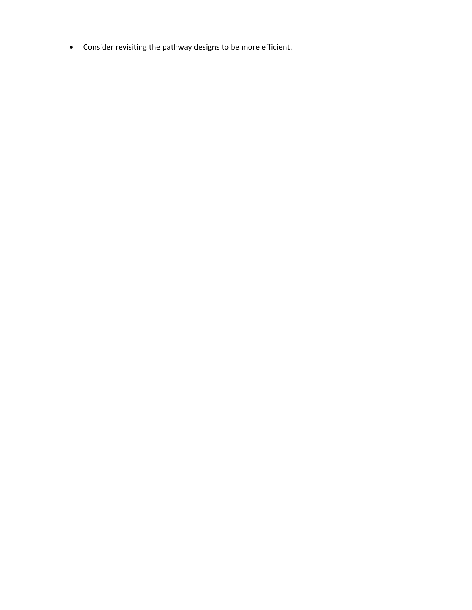• Consider revisiting the pathway designs to be more efficient.